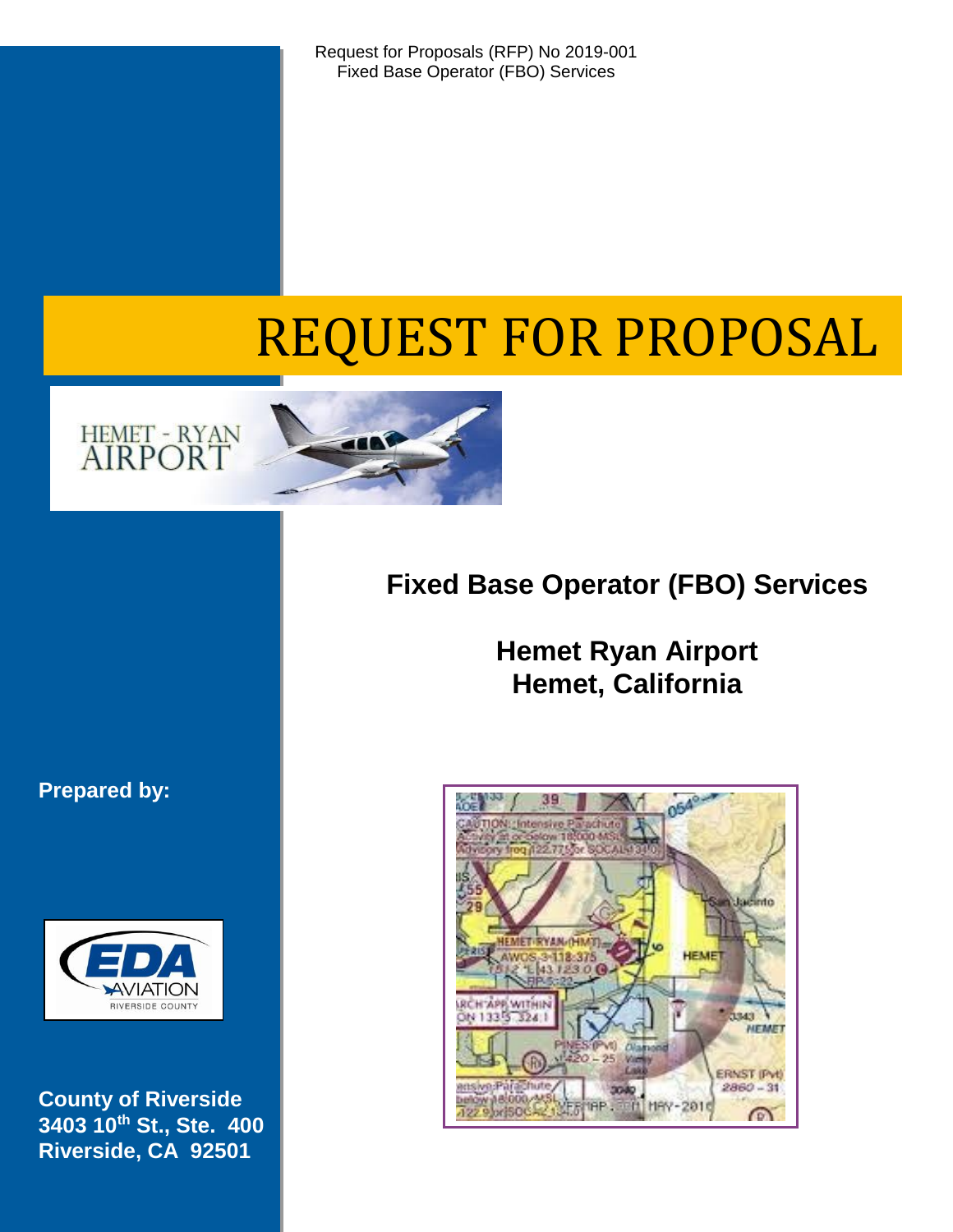Request for Proposals (RFP) No 2019-001 Fixed Base Operator (FBO) Services

# REQUEST FOR PROPOSAL



# **Fixed Base Operator (FBO) Services**

**Hemet Ryan Airport Hemet, California**

# **Prepared by:**



**County of Riverside 3403 10th St., Ste. 400 Riverside, CA 92501**

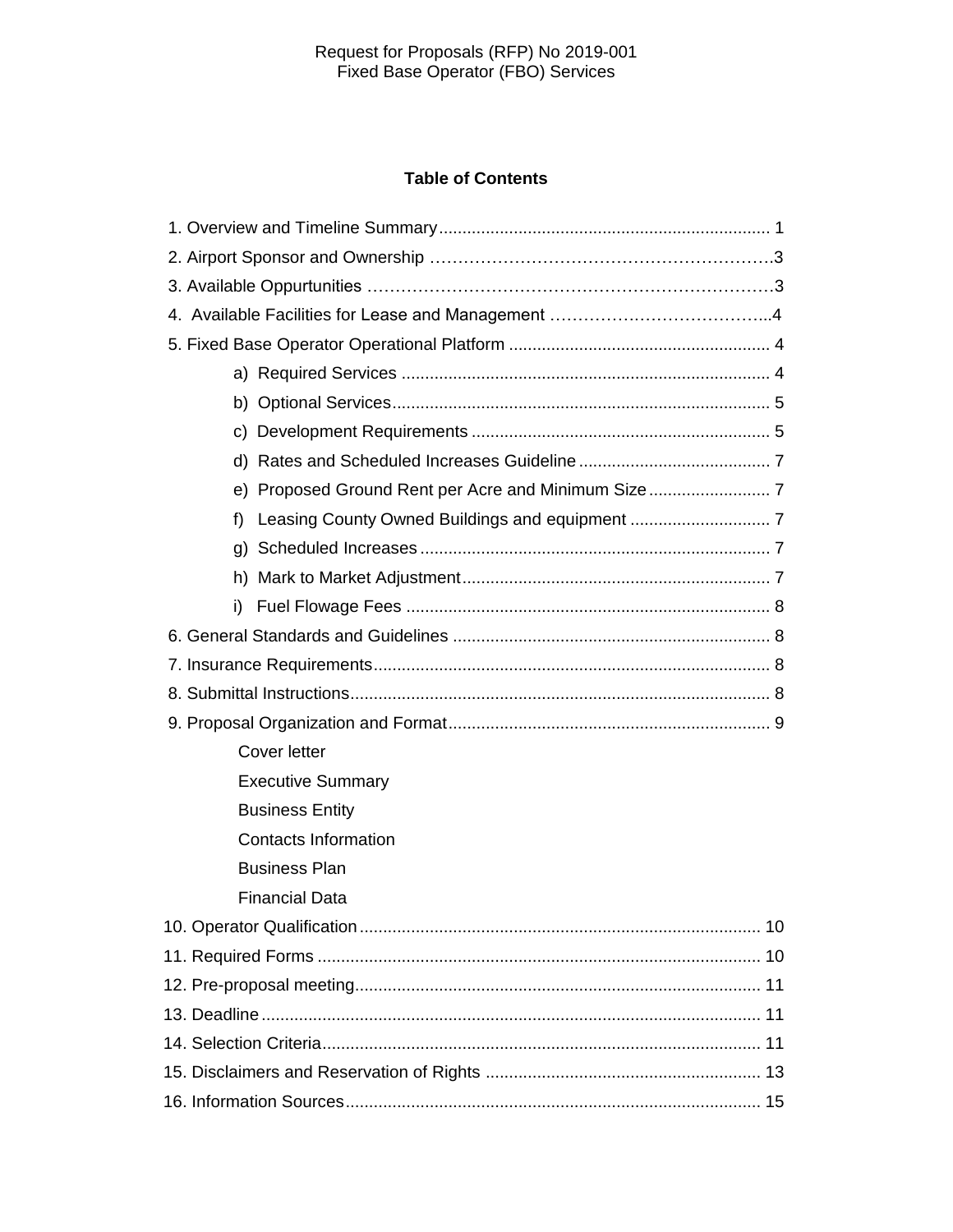#### Request for Proposals (RFP) No 2019-001 Fixed Base Operator (FBO) Services

# **Table of Contents**

| f)                          |  |  |  |  |
|-----------------------------|--|--|--|--|
|                             |  |  |  |  |
|                             |  |  |  |  |
| i)                          |  |  |  |  |
|                             |  |  |  |  |
|                             |  |  |  |  |
|                             |  |  |  |  |
|                             |  |  |  |  |
| Cover letter                |  |  |  |  |
| <b>Executive Summary</b>    |  |  |  |  |
| <b>Business Entity</b>      |  |  |  |  |
| <b>Contacts Information</b> |  |  |  |  |
| <b>Business Plan</b>        |  |  |  |  |
| <b>Financial Data</b>       |  |  |  |  |
|                             |  |  |  |  |
|                             |  |  |  |  |
|                             |  |  |  |  |
|                             |  |  |  |  |
|                             |  |  |  |  |
|                             |  |  |  |  |
|                             |  |  |  |  |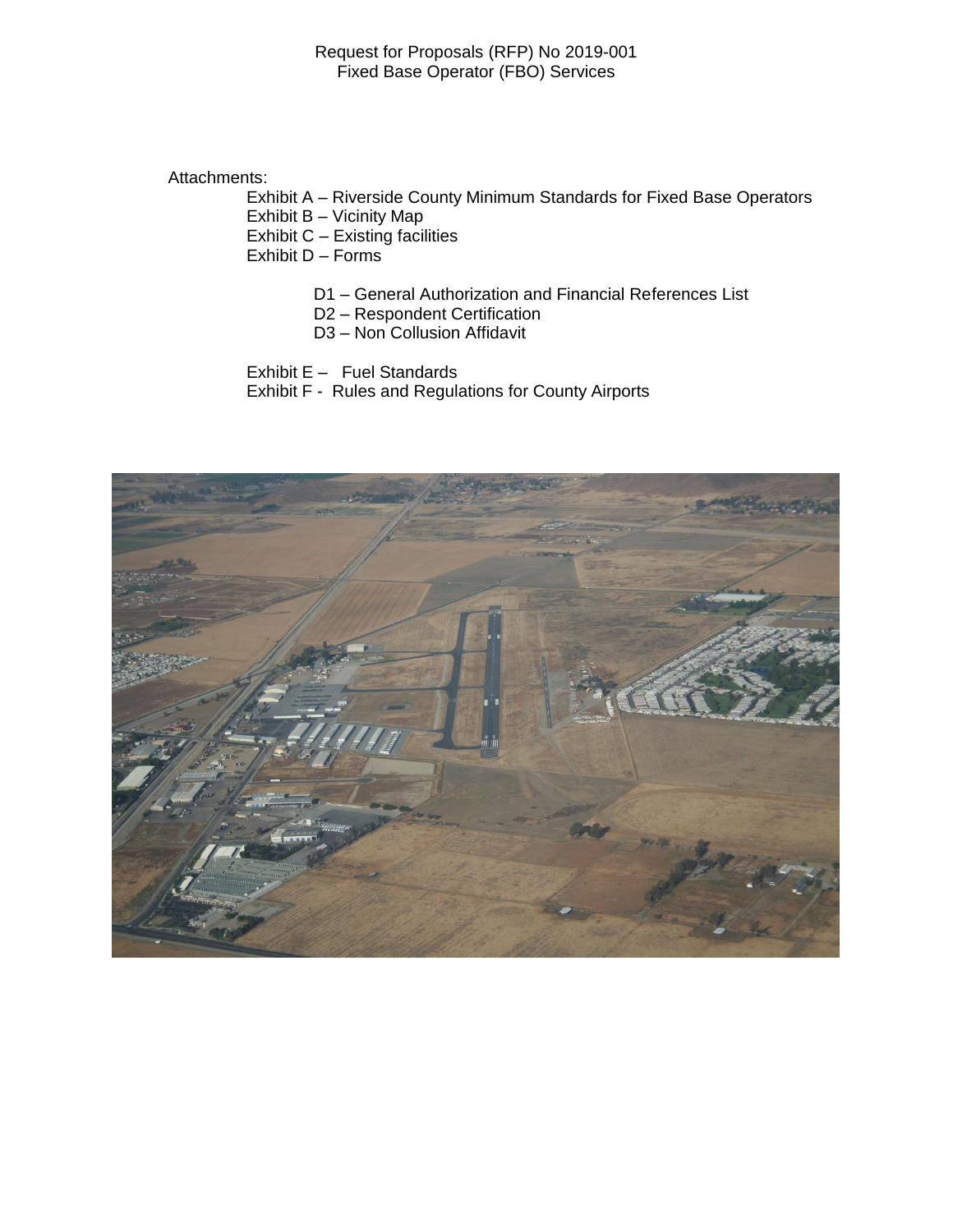Attachments:

Exhibit A – Riverside County Minimum Standards for Fixed Base Operators

Exhibit B – Vicinity Map

Exhibit C – Existing facilities

Exhibit D – Forms

- D1 General Authorization and Financial References List
- D2 Respondent Certification
- D3 Non Collusion Affidavit

Exhibit E – Fuel Standards

Exhibit F - Rules and Regulations for County Airports

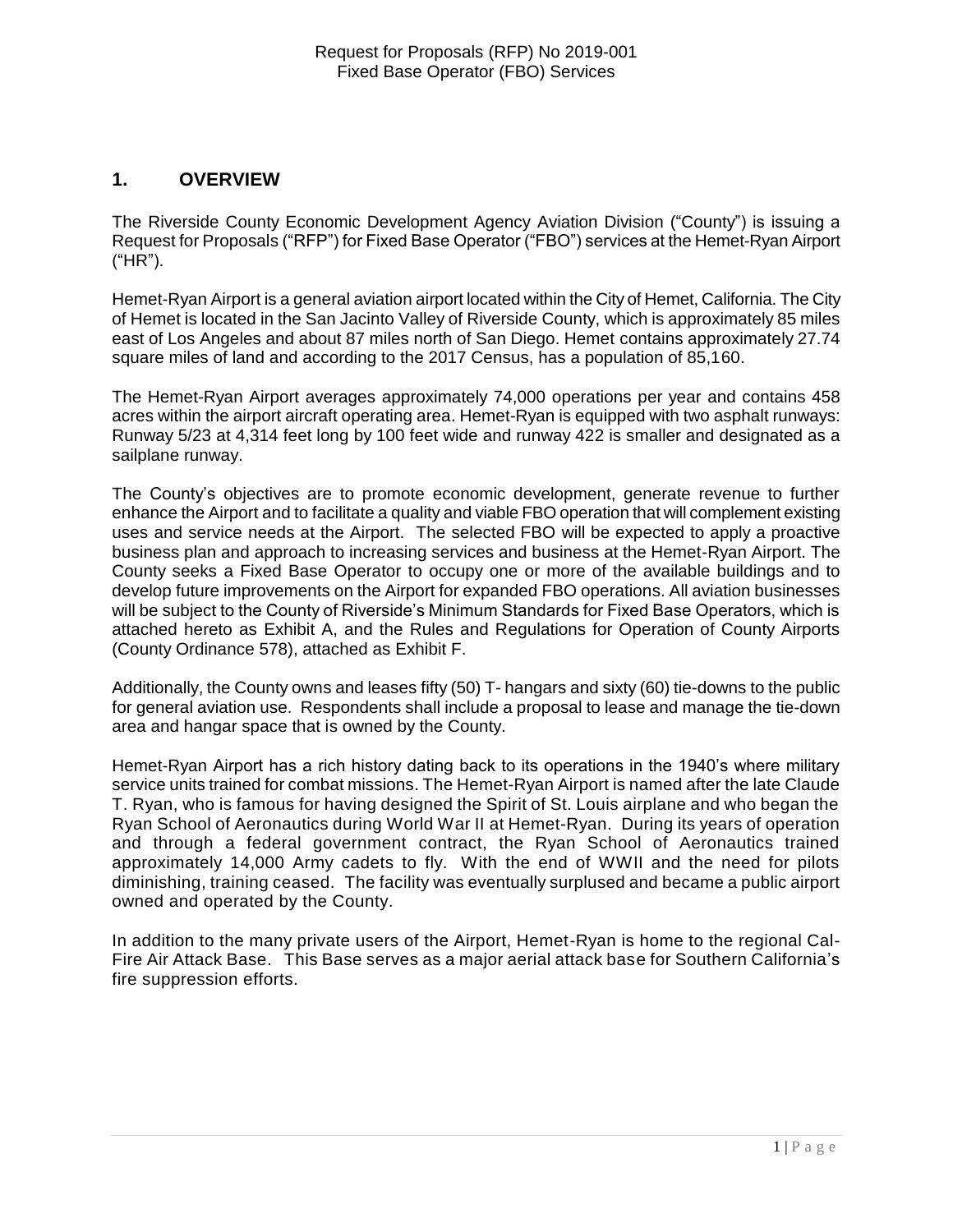# **1. OVERVIEW**

The Riverside County Economic Development Agency Aviation Division ("County") is issuing a Request for Proposals ("RFP") for Fixed Base Operator ("FBO") services at the Hemet-Ryan Airport ("HR").

Hemet-Ryan Airport is a general aviation airport located within the City of Hemet, California. The City of Hemet is located in the San Jacinto Valley of Riverside County, which is approximately 85 miles east of Los Angeles and about 87 miles north of San Diego. Hemet contains approximately 27.74 square miles of land and according to the 2017 Census, has a population of 85,160.

The Hemet-Ryan Airport averages approximately 74,000 operations per year and contains 458 acres within the airport aircraft operating area. Hemet-Ryan is equipped with two asphalt runways: Runway 5/23 at 4,314 feet long by 100 feet wide and runway 422 is smaller and designated as a sailplane runway.

The County's objectives are to promote economic development, generate revenue to further enhance the Airport and to facilitate a quality and viable FBO operation that will complement existing uses and service needs at the Airport. The selected FBO will be expected to apply a proactive business plan and approach to increasing services and business at the Hemet-Ryan Airport. The County seeks a Fixed Base Operator to occupy one or more of the available buildings and to develop future improvements on the Airport for expanded FBO operations. All aviation businesses will be subject to the County of Riverside's Minimum Standards for Fixed Base Operators, which is attached hereto as Exhibit A, and the Rules and Regulations for Operation of County Airports (County Ordinance 578), attached as Exhibit F.

Additionally, the County owns and leases fifty (50) T- hangars and sixty (60) tie-downs to the public for general aviation use. Respondents shall include a proposal to lease and manage the tie-down area and hangar space that is owned by the County.

Hemet-Ryan Airport has a rich history dating back to its operations in the 1940's where military service units trained for combat missions. The Hemet-Ryan Airport is named after the late Claude T. Ryan, who is famous for having designed the Spirit of St. Louis airplane and who began the Ryan School of Aeronautics during World War II at Hemet-Ryan. During its years of operation and through a federal government contract, the Ryan School of Aeronautics trained approximately 14,000 Army cadets to fly. With the end of WWII and the need for pilots diminishing, training ceased. The facility was eventually surplused and became a public airport owned and operated by the County.

In addition to the many private users of the Airport, Hemet-Ryan is home to the regional Cal-Fire Air Attack Base. This Base serves as a major aerial attack base for Southern California's fire suppression efforts.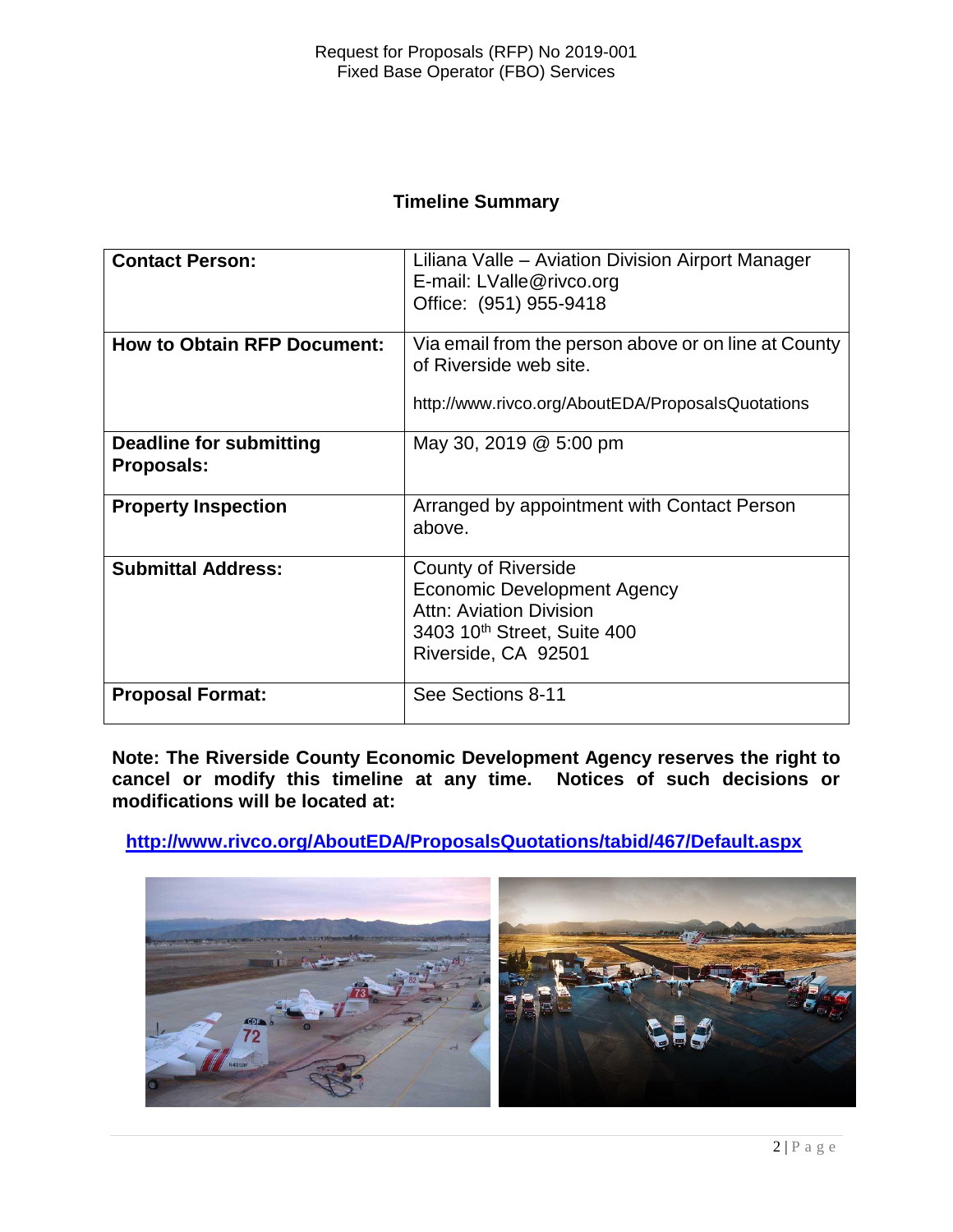# **Timeline Summary**

| <b>Contact Person:</b>                       | Liliana Valle – Aviation Division Airport Manager<br>E-mail: LValle@rivco.org<br>Office: (951) 955-9418                                                              |
|----------------------------------------------|----------------------------------------------------------------------------------------------------------------------------------------------------------------------|
| <b>How to Obtain RFP Document:</b>           | Via email from the person above or on line at County<br>of Riverside web site.<br>http://www.rivco.org/AboutEDA/ProposalsQuotations                                  |
| Deadline for submitting<br><b>Proposals:</b> | May 30, 2019 @ 5:00 pm                                                                                                                                               |
| <b>Property Inspection</b>                   | Arranged by appointment with Contact Person<br>above.                                                                                                                |
| <b>Submittal Address:</b>                    | <b>County of Riverside</b><br><b>Economic Development Agency</b><br><b>Attn: Aviation Division</b><br>3403 10 <sup>th</sup> Street, Suite 400<br>Riverside, CA 92501 |
| <b>Proposal Format:</b>                      | See Sections 8-11                                                                                                                                                    |

**Note: The Riverside County Economic Development Agency reserves the right to cancel or modify this timeline at any time. Notices of such decisions or modifications will be located at:**

**<http://www.rivco.org/AboutEDA/ProposalsQuotations/tabid/467/Default.aspx>**

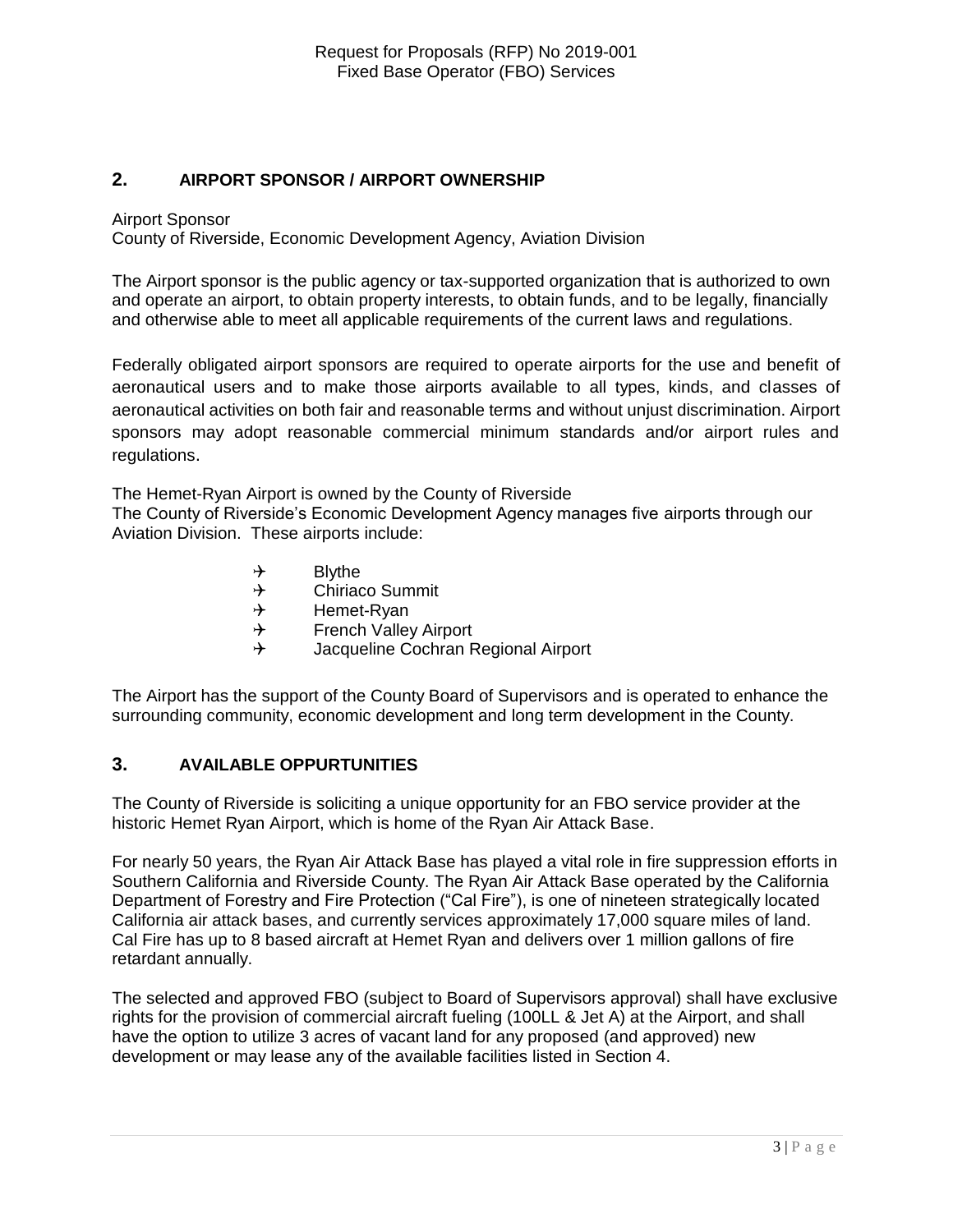#### **2. AIRPORT SPONSOR / AIRPORT OWNERSHIP**

Airport Sponsor

County of Riverside, Economic Development Agency, Aviation Division

The Airport sponsor is the public agency or tax-supported organization that is authorized to own and operate an airport, to obtain property interests, to obtain funds, and to be legally, financially and otherwise able to meet all applicable requirements of the current laws and regulations.

Federally obligated airport sponsors are required to operate airports for the use and benefit of aeronautical users and to make those airports available to all types, kinds, and classes of aeronautical activities on both fair and reasonable terms and without unjust discrimination. Airport sponsors may adopt reasonable commercial minimum standards and/or airport rules and regulations.

The Hemet-Ryan Airport is owned by the County of Riverside

The County of Riverside's Economic Development Agency manages five airports through our Aviation Division. These airports include:

- $\rightarrow$  Blythe
- $\rightarrow$  Chiriaco Summit
- $\rightarrow$  Hemet-Ryan
- $\rightarrow$  French Valley Airport
- Jacqueline Cochran Regional Airport

The Airport has the support of the County Board of Supervisors and is operated to enhance the surrounding community, economic development and long term development in the County.

#### **3. AVAILABLE OPPURTUNITIES**

The County of Riverside is soliciting a unique opportunity for an FBO service provider at the historic Hemet Ryan Airport, which is home of the Ryan Air Attack Base.

For nearly 50 years, the Ryan Air Attack Base has played a vital role in fire suppression efforts in Southern California and Riverside County. The Ryan Air Attack Base operated by the California Department of Forestry and Fire Protection ("Cal Fire"), is one of nineteen strategically located California air attack bases, and currently services approximately 17,000 square miles of land. Cal Fire has up to 8 based aircraft at Hemet Ryan and delivers over 1 million gallons of fire retardant annually.

The selected and approved FBO (subject to Board of Supervisors approval) shall have exclusive rights for the provision of commercial aircraft fueling (100LL & Jet A) at the Airport, and shall have the option to utilize 3 acres of vacant land for any proposed (and approved) new development or may lease any of the available facilities listed in Section 4.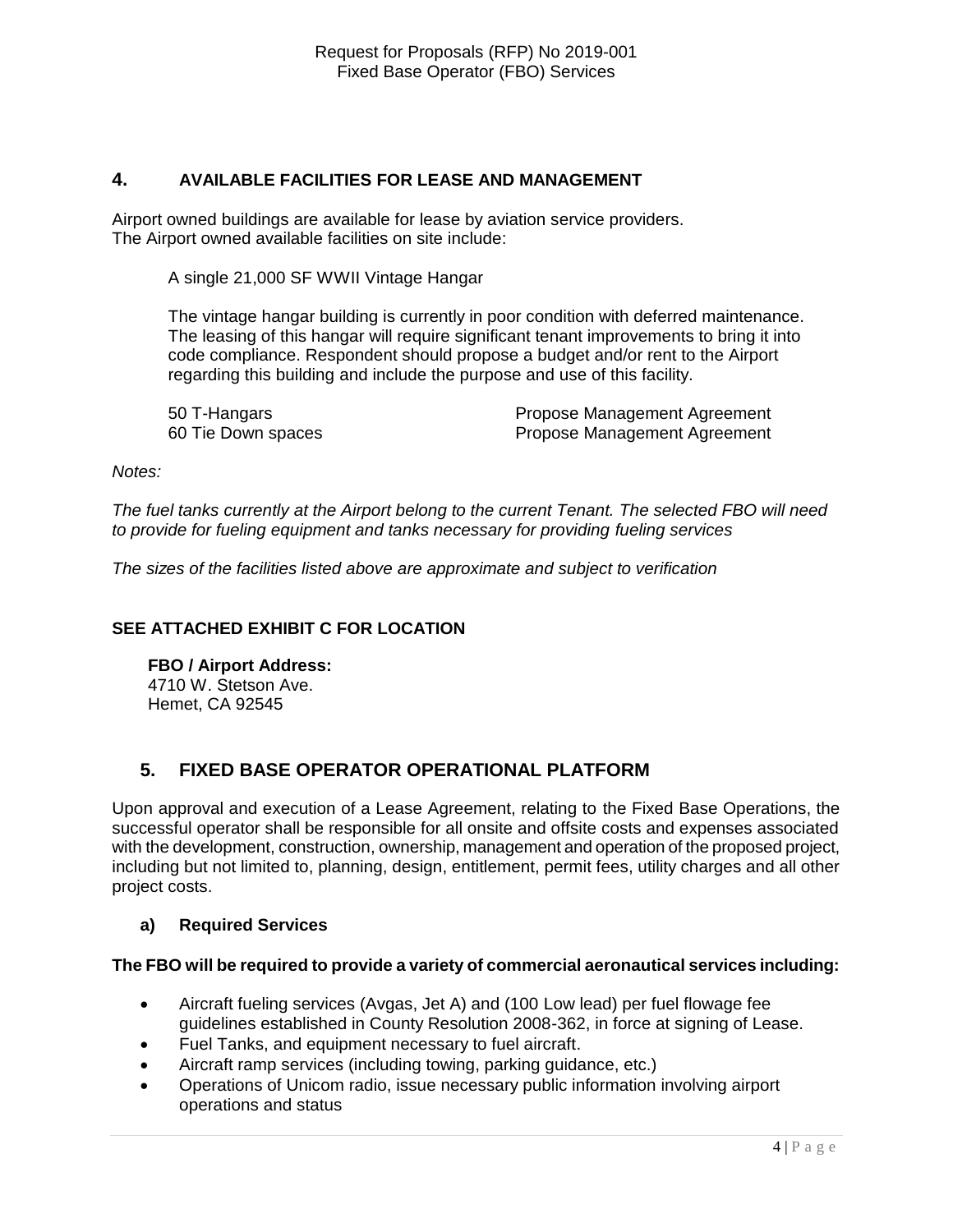#### **4. AVAILABLE FACILITIES FOR LEASE AND MANAGEMENT**

Airport owned buildings are available for lease by aviation service providers. The Airport owned available facilities on site include:

A single 21,000 SF WWII Vintage Hangar

The vintage hangar building is currently in poor condition with deferred maintenance. The leasing of this hangar will require significant tenant improvements to bring it into code compliance. Respondent should propose a budget and/or rent to the Airport regarding this building and include the purpose and use of this facility.

50 T-Hangars Propose Management Agreement 60 Tie Down spaces **Propose Management Agreement** 

*Notes:* 

*The fuel tanks currently at the Airport belong to the current Tenant. The selected FBO will need to provide for fueling equipment and tanks necessary for providing fueling services*

*The sizes of the facilities listed above are approximate and subject to verification*

#### **SEE ATTACHED EXHIBIT C FOR LOCATION**

**FBO / Airport Address:** 4710 W. Stetson Ave. Hemet, CA 92545

# **5. FIXED BASE OPERATOR OPERATIONAL PLATFORM**

Upon approval and execution of a Lease Agreement, relating to the Fixed Base Operations, the successful operator shall be responsible for all onsite and offsite costs and expenses associated with the development, construction, ownership, management and operation of the proposed project, including but not limited to, planning, design, entitlement, permit fees, utility charges and all other project costs.

#### **a) Required Services**

#### **The FBO will be required to provide a variety of commercial aeronautical services including:**

- Aircraft fueling services (Avgas, Jet A) and (100 Low lead) per fuel flowage fee guidelines established in County Resolution 2008-362, in force at signing of Lease.
- Fuel Tanks, and equipment necessary to fuel aircraft.
- Aircraft ramp services (including towing, parking guidance, etc.)
- Operations of Unicom radio, issue necessary public information involving airport operations and status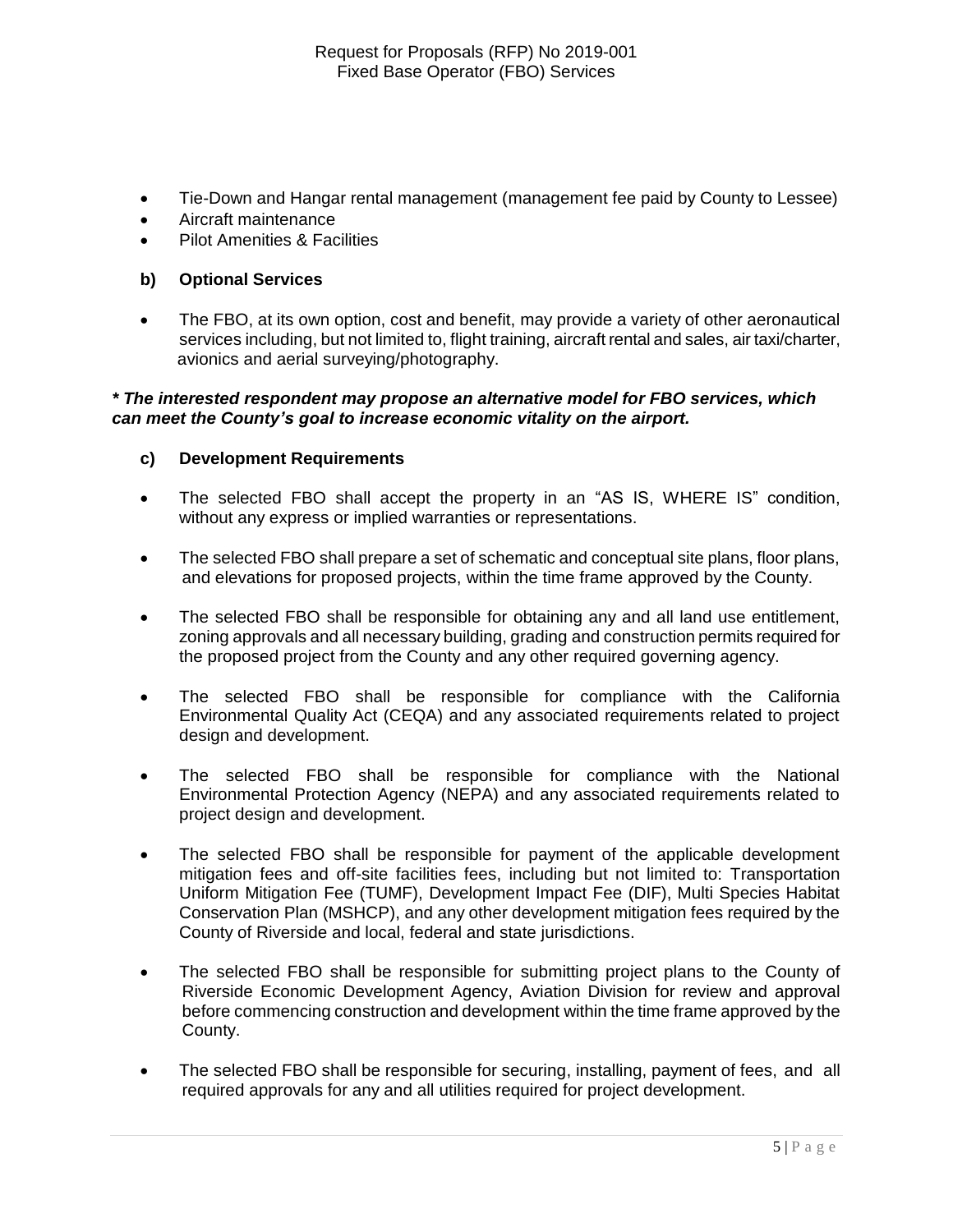- Tie-Down and Hangar rental management (management fee paid by County to Lessee)
- Aircraft maintenance
- Pilot Amenities & Facilities

#### **b) Optional Services**

 The FBO, at its own option, cost and benefit, may provide a variety of other aeronautical services including, but not limited to, flight training, aircraft rental and sales, air taxi/charter, avionics and aerial surveying/photography.

#### *\* The interested respondent may propose an alternative model for FBO services, which can meet the County's goal to increase economic vitality on the airport.*

#### **c) Development Requirements**

- The selected FBO shall accept the property in an "AS IS, WHERE IS" condition, without any express or implied warranties or representations.
- The selected FBO shall prepare a set of schematic and conceptual site plans, floor plans, and elevations for proposed projects, within the time frame approved by the County.
- The selected FBO shall be responsible for obtaining any and all land use entitlement, zoning approvals and all necessary building, grading and construction permits required for the proposed project from the County and any other required governing agency.
- The selected FBO shall be responsible for compliance with the California Environmental Quality Act (CEQA) and any associated requirements related to project design and development.
- The selected FBO shall be responsible for compliance with the National Environmental Protection Agency (NEPA) and any associated requirements related to project design and development.
- The selected FBO shall be responsible for payment of the applicable development mitigation fees and off-site facilities fees, including but not limited to: Transportation Uniform Mitigation Fee (TUMF), Development Impact Fee (DIF), Multi Species Habitat Conservation Plan (MSHCP), and any other development mitigation fees required by the County of Riverside and local, federal and state jurisdictions.
- The selected FBO shall be responsible for submitting project plans to the County of Riverside Economic Development Agency, Aviation Division for review and approval before commencing construction and development within the time frame approved by the County.
- The selected FBO shall be responsible for securing, installing, payment of fees, and all required approvals for any and all utilities required for project development.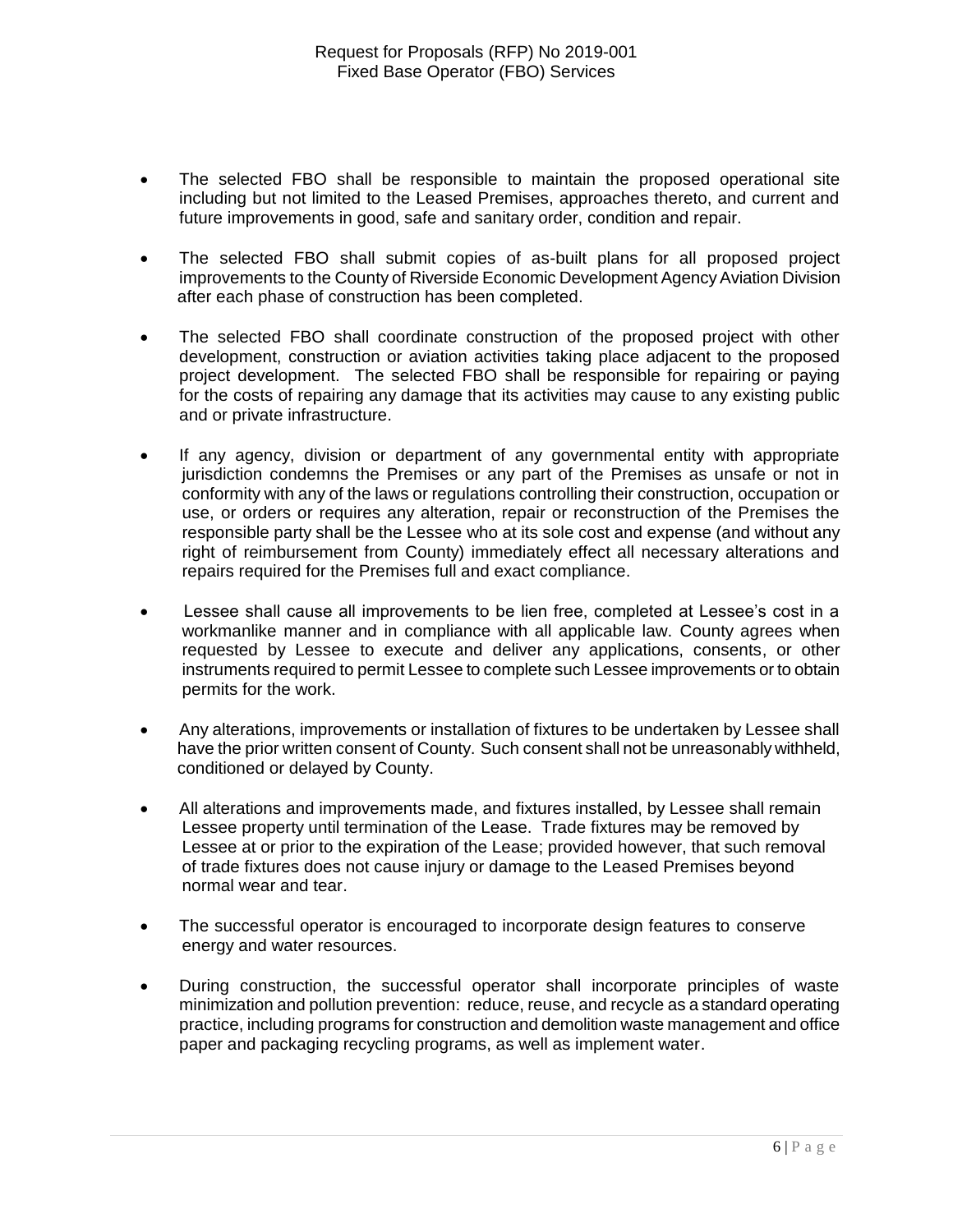- The selected FBO shall be responsible to maintain the proposed operational site including but not limited to the Leased Premises, approaches thereto, and current and future improvements in good, safe and sanitary order, condition and repair.
- The selected FBO shall submit copies of as-built plans for all proposed project improvements to the County of Riverside Economic Development Agency Aviation Division after each phase of construction has been completed.
- The selected FBO shall coordinate construction of the proposed project with other development, construction or aviation activities taking place adjacent to the proposed project development. The selected FBO shall be responsible for repairing or paying for the costs of repairing any damage that its activities may cause to any existing public and or private infrastructure.
- If any agency, division or department of any governmental entity with appropriate jurisdiction condemns the Premises or any part of the Premises as unsafe or not in conformity with any of the laws or regulations controlling their construction, occupation or use, or orders or requires any alteration, repair or reconstruction of the Premises the responsible party shall be the Lessee who at its sole cost and expense (and without any right of reimbursement from County) immediately effect all necessary alterations and repairs required for the Premises full and exact compliance.
- Lessee shall cause all improvements to be lien free, completed at Lessee's cost in a workmanlike manner and in compliance with all applicable law. County agrees when requested by Lessee to execute and deliver any applications, consents, or other instruments required to permit Lessee to complete such Lessee improvements or to obtain permits for the work.
- Any alterations, improvements or installation of fixtures to be undertaken by Lessee shall have the prior written consent of County. Such consent shall not be unreasonably withheld, conditioned or delayed by County.
- All alterations and improvements made, and fixtures installed, by Lessee shall remain Lessee property until termination of the Lease. Trade fixtures may be removed by Lessee at or prior to the expiration of the Lease; provided however, that such removal of trade fixtures does not cause injury or damage to the Leased Premises beyond normal wear and tear.
- The successful operator is encouraged to incorporate design features to conserve energy and water resources.
- During construction, the successful operator shall incorporate principles of waste minimization and pollution prevention: reduce, reuse, and recycle as a standard operating practice, including programs for construction and demolition waste management and office paper and packaging recycling programs, as well as implement water.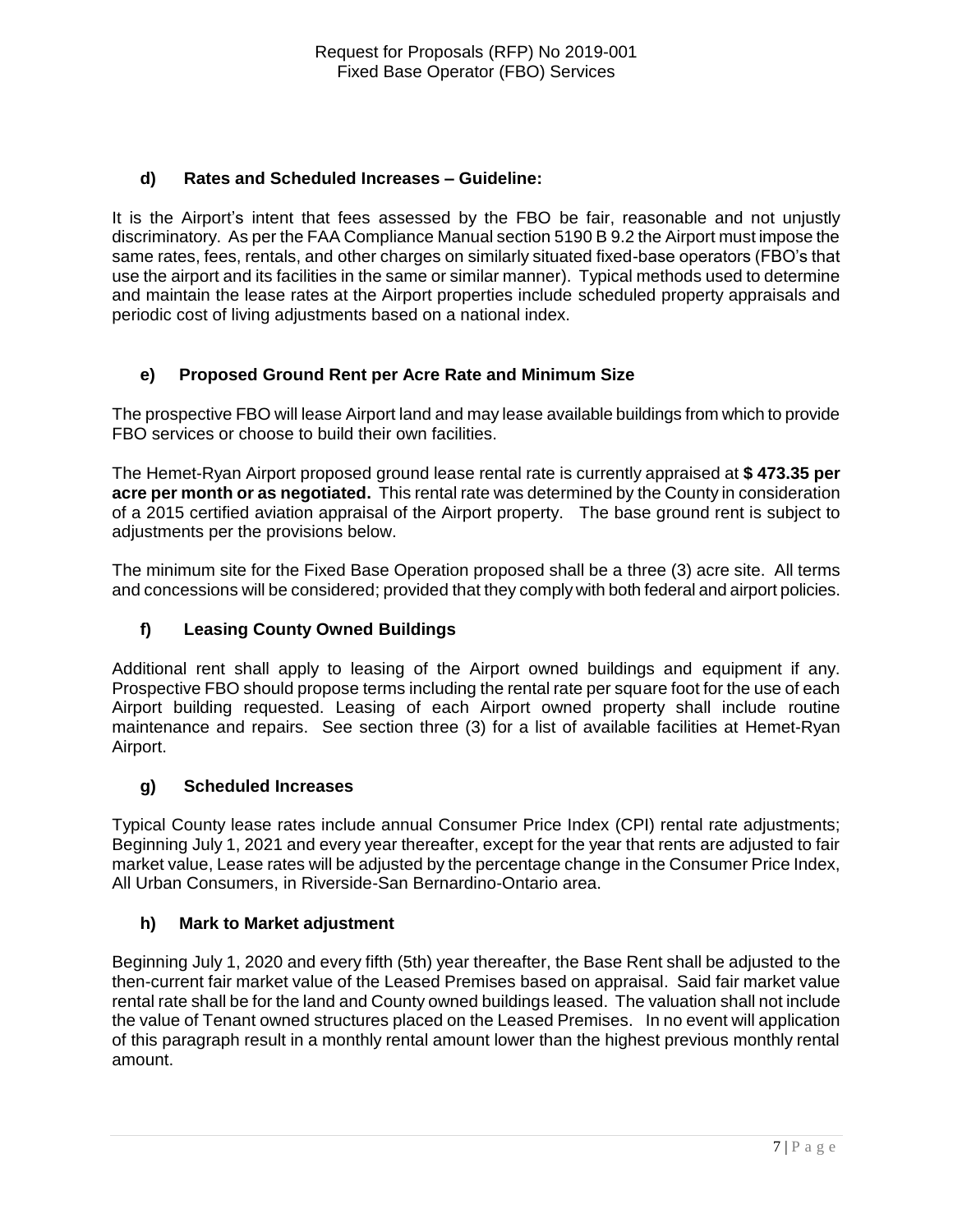### **d) Rates and Scheduled Increases – Guideline:**

It is the Airport's intent that fees assessed by the FBO be fair, reasonable and not unjustly discriminatory. As per the FAA Compliance Manual section 5190 B 9.2 the Airport must impose the same rates, fees, rentals, and other charges on similarly situated fixed-base operators (FBO's that use the airport and its facilities in the same or similar manner). Typical methods used to determine and maintain the lease rates at the Airport properties include scheduled property appraisals and periodic cost of living adjustments based on a national index.

#### **e) Proposed Ground Rent per Acre Rate and Minimum Size**

The prospective FBO will lease Airport land and may lease available buildings from which to provide FBO services or choose to build their own facilities.

The Hemet-Ryan Airport proposed ground lease rental rate is currently appraised at **\$ 473.35 per acre per month or as negotiated.** This rental rate was determined by the County in consideration of a 2015 certified aviation appraisal of the Airport property. The base ground rent is subject to adjustments per the provisions below.

The minimum site for the Fixed Base Operation proposed shall be a three (3) acre site. All terms and concessions will be considered; provided that they comply with both federal and airport policies.

# **f) Leasing County Owned Buildings**

Additional rent shall apply to leasing of the Airport owned buildings and equipment if any. Prospective FBO should propose terms including the rental rate per square foot for the use of each Airport building requested. Leasing of each Airport owned property shall include routine maintenance and repairs. See section three (3) for a list of available facilities at Hemet-Ryan Airport.

#### **g) Scheduled Increases**

Typical County lease rates include annual Consumer Price Index (CPI) rental rate adjustments; Beginning July 1, 2021 and every year thereafter, except for the year that rents are adjusted to fair market value, Lease rates will be adjusted by the percentage change in the Consumer Price Index, All Urban Consumers, in Riverside-San Bernardino-Ontario area.

#### **h) Mark to Market adjustment**

Beginning July 1, 2020 and every fifth (5th) year thereafter, the Base Rent shall be adjusted to the then-current fair market value of the Leased Premises based on appraisal. Said fair market value rental rate shall be for the land and County owned buildings leased. The valuation shall not include the value of Tenant owned structures placed on the Leased Premises. In no event will application of this paragraph result in a monthly rental amount lower than the highest previous monthly rental amount.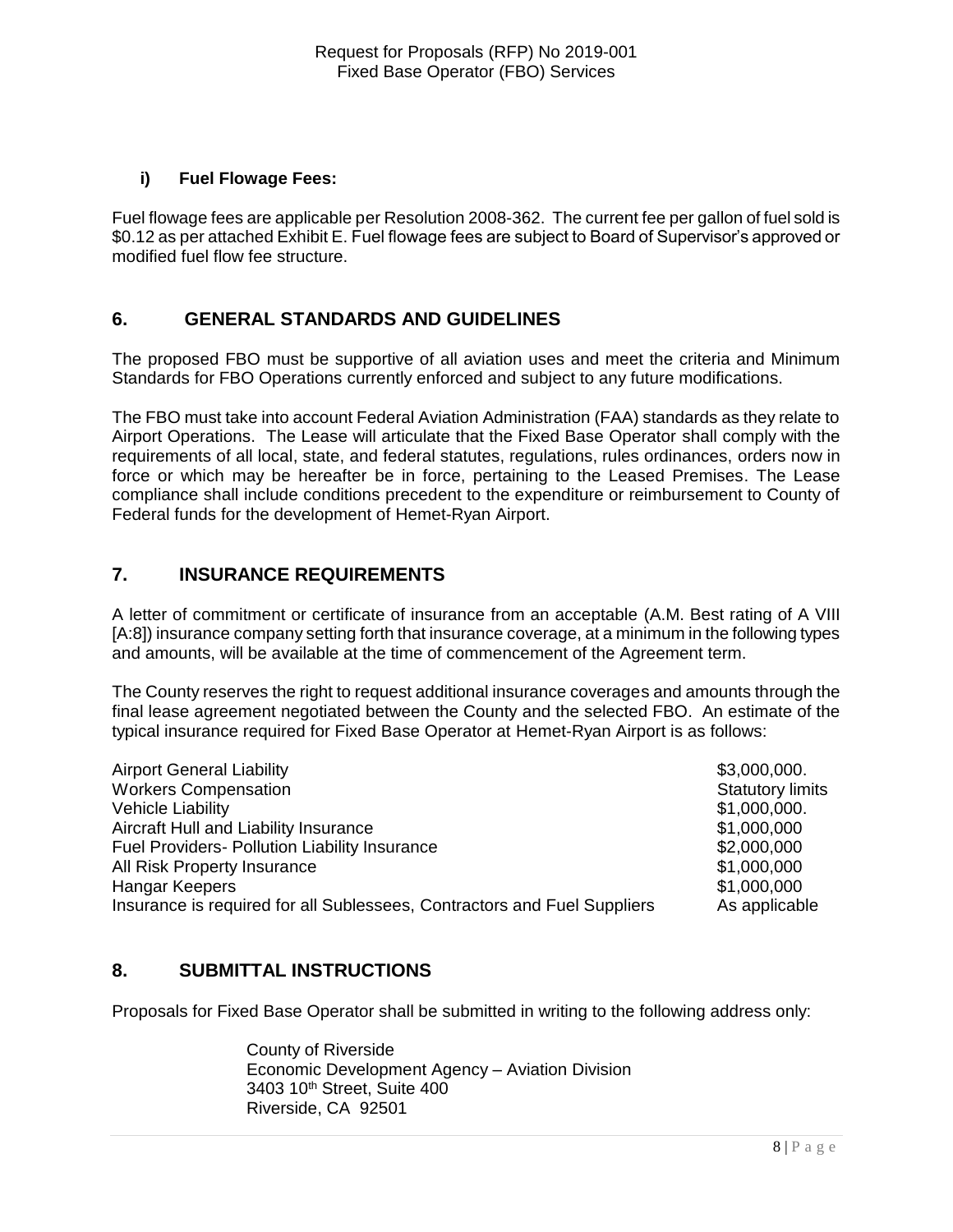#### **i) Fuel Flowage Fees:**

Fuel flowage fees are applicable per Resolution 2008-362. The current fee per gallon of fuel sold is \$0.12 as per attached Exhibit E. Fuel flowage fees are subject to Board of Supervisor's approved or modified fuel flow fee structure.

# **6. GENERAL STANDARDS AND GUIDELINES**

The proposed FBO must be supportive of all aviation uses and meet the criteria and Minimum Standards for FBO Operations currently enforced and subject to any future modifications.

The FBO must take into account Federal Aviation Administration (FAA) standards as they relate to Airport Operations. The Lease will articulate that the Fixed Base Operator shall comply with the requirements of all local, state, and federal statutes, regulations, rules ordinances, orders now in force or which may be hereafter be in force, pertaining to the Leased Premises. The Lease compliance shall include conditions precedent to the expenditure or reimbursement to County of Federal funds for the development of Hemet-Ryan Airport.

# **7. INSURANCE REQUIREMENTS**

A letter of commitment or certificate of insurance from an acceptable (A.M. Best rating of A VIII [A:8]) insurance company setting forth that insurance coverage, at a minimum in the following types and amounts, will be available at the time of commencement of the Agreement term.

The County reserves the right to request additional insurance coverages and amounts through the final lease agreement negotiated between the County and the selected FBO. An estimate of the typical insurance required for Fixed Base Operator at Hemet-Ryan Airport is as follows:

| <b>Airport General Liability</b>                                         | \$3,000,000.            |
|--------------------------------------------------------------------------|-------------------------|
| <b>Workers Compensation</b>                                              | <b>Statutory limits</b> |
| <b>Vehicle Liability</b>                                                 | \$1,000,000.            |
| Aircraft Hull and Liability Insurance                                    | \$1,000,000             |
| <b>Fuel Providers- Pollution Liability Insurance</b>                     | \$2,000,000             |
| All Risk Property Insurance                                              | \$1,000,000             |
| Hangar Keepers                                                           | \$1,000,000             |
| Insurance is required for all Sublessees, Contractors and Fuel Suppliers | As applicable           |

# **8. SUBMITTAL INSTRUCTIONS**

Proposals for Fixed Base Operator shall be submitted in writing to the following address only:

County of Riverside Economic Development Agency – Aviation Division 3403 10<sup>th</sup> Street, Suite 400 Riverside, CA 92501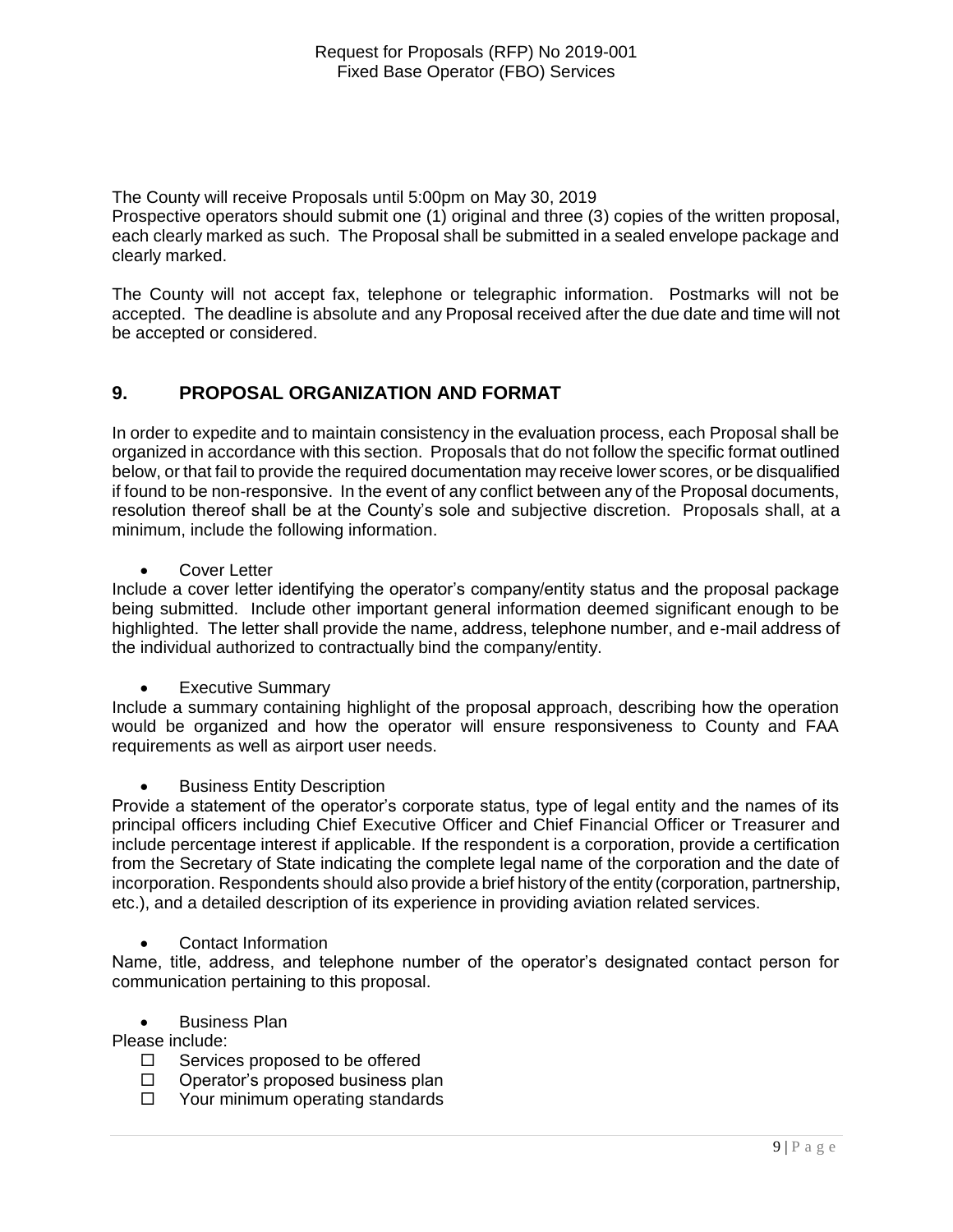The County will receive Proposals until 5:00pm on May 30, 2019

Prospective operators should submit one (1) original and three (3) copies of the written proposal, each clearly marked as such. The Proposal shall be submitted in a sealed envelope package and clearly marked.

The County will not accept fax, telephone or telegraphic information. Postmarks will not be accepted. The deadline is absolute and any Proposal received after the due date and time will not be accepted or considered.

# **9. PROPOSAL ORGANIZATION AND FORMAT**

In order to expedite and to maintain consistency in the evaluation process, each Proposal shall be organized in accordance with this section. Proposals that do not follow the specific format outlined below, or that fail to provide the required documentation may receive lower scores, or be disqualified if found to be non-responsive. In the event of any conflict between any of the Proposal documents, resolution thereof shall be at the County's sole and subjective discretion. Proposals shall, at a minimum, include the following information.

Cover Letter

Include a cover letter identifying the operator's company/entity status and the proposal package being submitted. Include other important general information deemed significant enough to be highlighted. The letter shall provide the name, address, telephone number, and e-mail address of the individual authorized to contractually bind the company/entity.

Executive Summary

Include a summary containing highlight of the proposal approach, describing how the operation would be organized and how the operator will ensure responsiveness to County and FAA requirements as well as airport user needs.

**•** Business Entity Description

Provide a statement of the operator's corporate status, type of legal entity and the names of its principal officers including Chief Executive Officer and Chief Financial Officer or Treasurer and include percentage interest if applicable. If the respondent is a corporation, provide a certification from the Secretary of State indicating the complete legal name of the corporation and the date of incorporation. Respondents should also provide a brief history of the entity (corporation, partnership, etc.), and a detailed description of its experience in providing aviation related services.

Contact Information

Name, title, address, and telephone number of the operator's designated contact person for communication pertaining to this proposal.

Business Plan

Please include:

- $\Box$  Services proposed to be offered
- $\Box$  Operator's proposed business plan
- $\Box$  Your minimum operating standards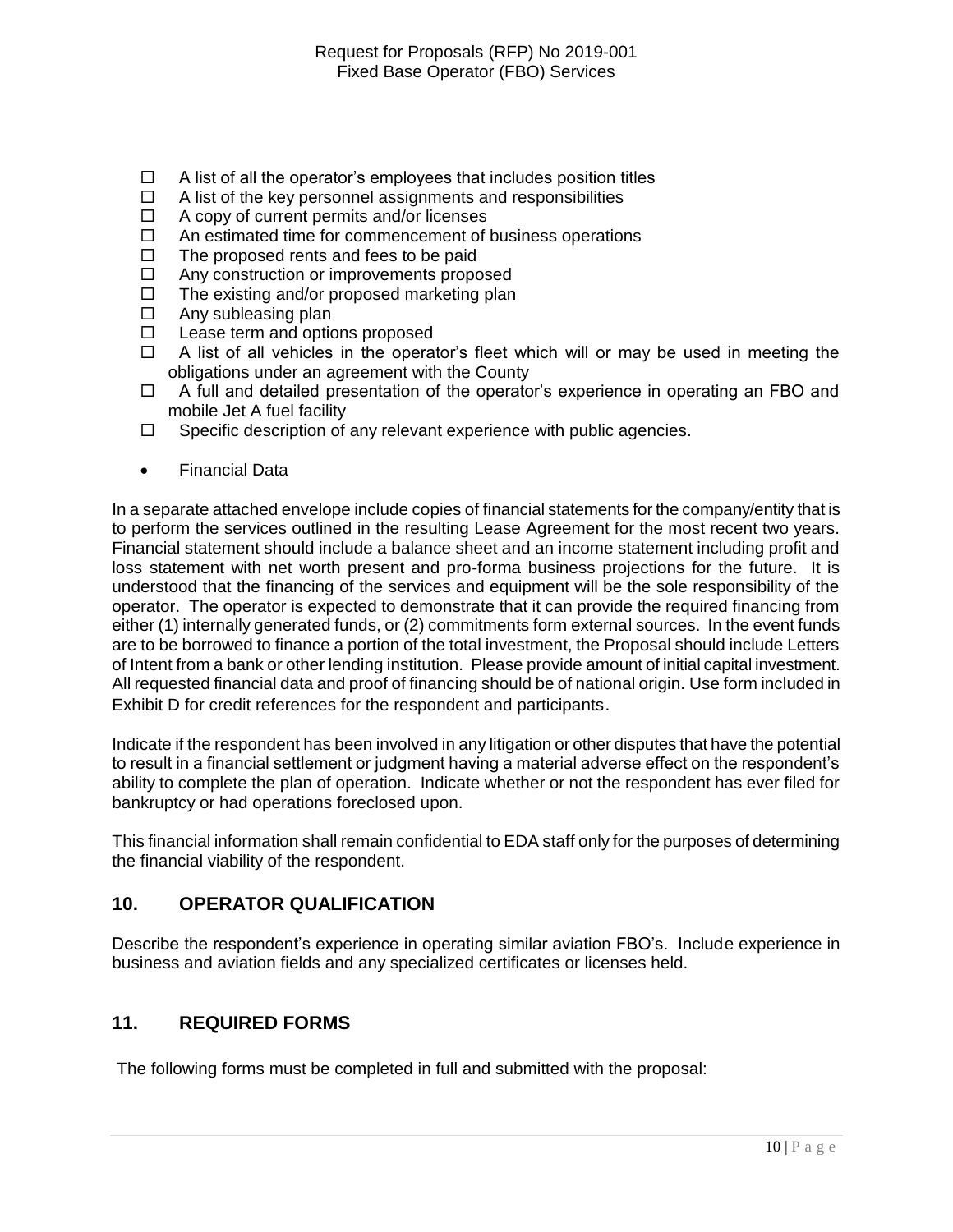- $\Box$  A list of all the operator's employees that includes position titles
- $\Box$  A list of the key personnel assignments and responsibilities
- $\Box$  A copy of current permits and/or licenses
- $\Box$  An estimated time for commencement of business operations
- $\Box$  The proposed rents and fees to be paid
- $\Box$  Any construction or improvements proposed
- $\Box$  The existing and/or proposed marketing plan
- $\Box$  Any subleasing plan
- $\Box$  Lease term and options proposed
- $\Box$  A list of all vehicles in the operator's fleet which will or may be used in meeting the obligations under an agreement with the County
- $\Box$  A full and detailed presentation of the operator's experience in operating an FBO and mobile Jet A fuel facility
- $\Box$  Specific description of any relevant experience with public agencies.
- Financial Data

In a separate attached envelope include copies of financial statements for the company/entity that is to perform the services outlined in the resulting Lease Agreement for the most recent two years. Financial statement should include a balance sheet and an income statement including profit and loss statement with net worth present and pro-forma business projections for the future. It is understood that the financing of the services and equipment will be the sole responsibility of the operator. The operator is expected to demonstrate that it can provide the required financing from either (1) internally generated funds, or (2) commitments form external sources. In the event funds are to be borrowed to finance a portion of the total investment, the Proposal should include Letters of Intent from a bank or other lending institution. Please provide amount of initial capital investment. All requested financial data and proof of financing should be of national origin. Use form included in Exhibit D for credit references for the respondent and participants.

Indicate if the respondent has been involved in any litigation or other disputes that have the potential to result in a financial settlement or judgment having a material adverse effect on the respondent's ability to complete the plan of operation. Indicate whether or not the respondent has ever filed for bankruptcy or had operations foreclosed upon.

This financial information shall remain confidential to EDA staff only for the purposes of determining the financial viability of the respondent.

# **10. OPERATOR QUALIFICATION**

Describe the respondent's experience in operating similar aviation FBO's. Include experience in business and aviation fields and any specialized certificates or licenses held.

# **11. REQUIRED FORMS**

The following forms must be completed in full and submitted with the proposal: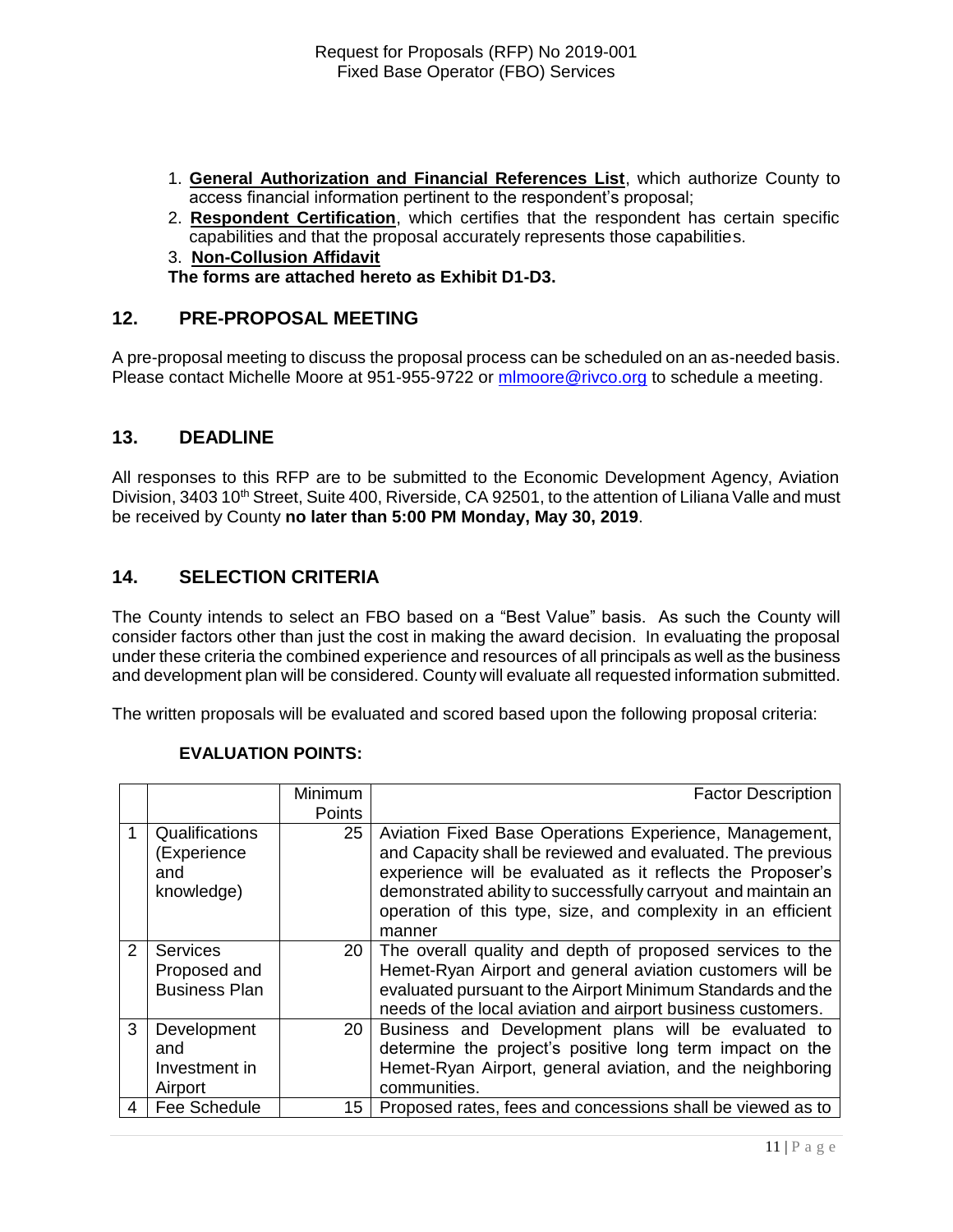- 1. **General Authorization and Financial References List**, which authorize County to access financial information pertinent to the respondent's proposal;
- 2. **Respondent Certification**, which certifies that the respondent has certain specific capabilities and that the proposal accurately represents those capabilities.
- 3. **Non-Collusion Affidavit**

**The forms are attached hereto as Exhibit D1-D3.**

#### **12. PRE-PROPOSAL MEETING**

A pre-proposal meeting to discuss the proposal process can be scheduled on an as-needed basis. Please contact Michelle Moore at 951-955-9722 or [mlmoore@rivco.org](mailto:mlmoore@rivco.org) to schedule a meeting.

#### **13. DEADLINE**

All responses to this RFP are to be submitted to the Economic Development Agency, Aviation Division, 3403 10<sup>th</sup> Street, Suite 400, Riverside, CA 92501, to the attention of Liliana Valle and must be received by County **no later than 5:00 PM Monday, May 30, 2019**.

#### **14. SELECTION CRITERIA**

The County intends to select an FBO based on a "Best Value" basis. As such the County will consider factors other than just the cost in making the award decision. In evaluating the proposal under these criteria the combined experience and resources of all principals as well as the business and development plan will be considered. County will evaluate all requested information submitted.

The written proposals will be evaluated and scored based upon the following proposal criteria:

|               |                                                         | <b>Minimum</b>  | <b>Factor Description</b>                                                                                                                                                                                                                                                                                                     |
|---------------|---------------------------------------------------------|-----------------|-------------------------------------------------------------------------------------------------------------------------------------------------------------------------------------------------------------------------------------------------------------------------------------------------------------------------------|
|               |                                                         | Points          |                                                                                                                                                                                                                                                                                                                               |
|               | Qualifications<br>(Experience<br>and<br>knowledge)      | 25              | Aviation Fixed Base Operations Experience, Management,<br>and Capacity shall be reviewed and evaluated. The previous<br>experience will be evaluated as it reflects the Proposer's<br>demonstrated ability to successfully carryout and maintain an<br>operation of this type, size, and complexity in an efficient<br>manner |
| $\mathcal{P}$ | <b>Services</b><br>Proposed and<br><b>Business Plan</b> | 20 <sub>1</sub> | The overall quality and depth of proposed services to the<br>Hemet-Ryan Airport and general aviation customers will be<br>evaluated pursuant to the Airport Minimum Standards and the<br>needs of the local aviation and airport business customers.                                                                          |
| 3             | Development<br>and<br>Investment in<br>Airport          | <b>20</b>       | Business and Development plans will be evaluated to<br>determine the project's positive long term impact on the<br>Hemet-Ryan Airport, general aviation, and the neighboring<br>communities.                                                                                                                                  |
| 4             | Fee Schedule                                            | 15              | Proposed rates, fees and concessions shall be viewed as to                                                                                                                                                                                                                                                                    |

#### **EVALUATION POINTS:**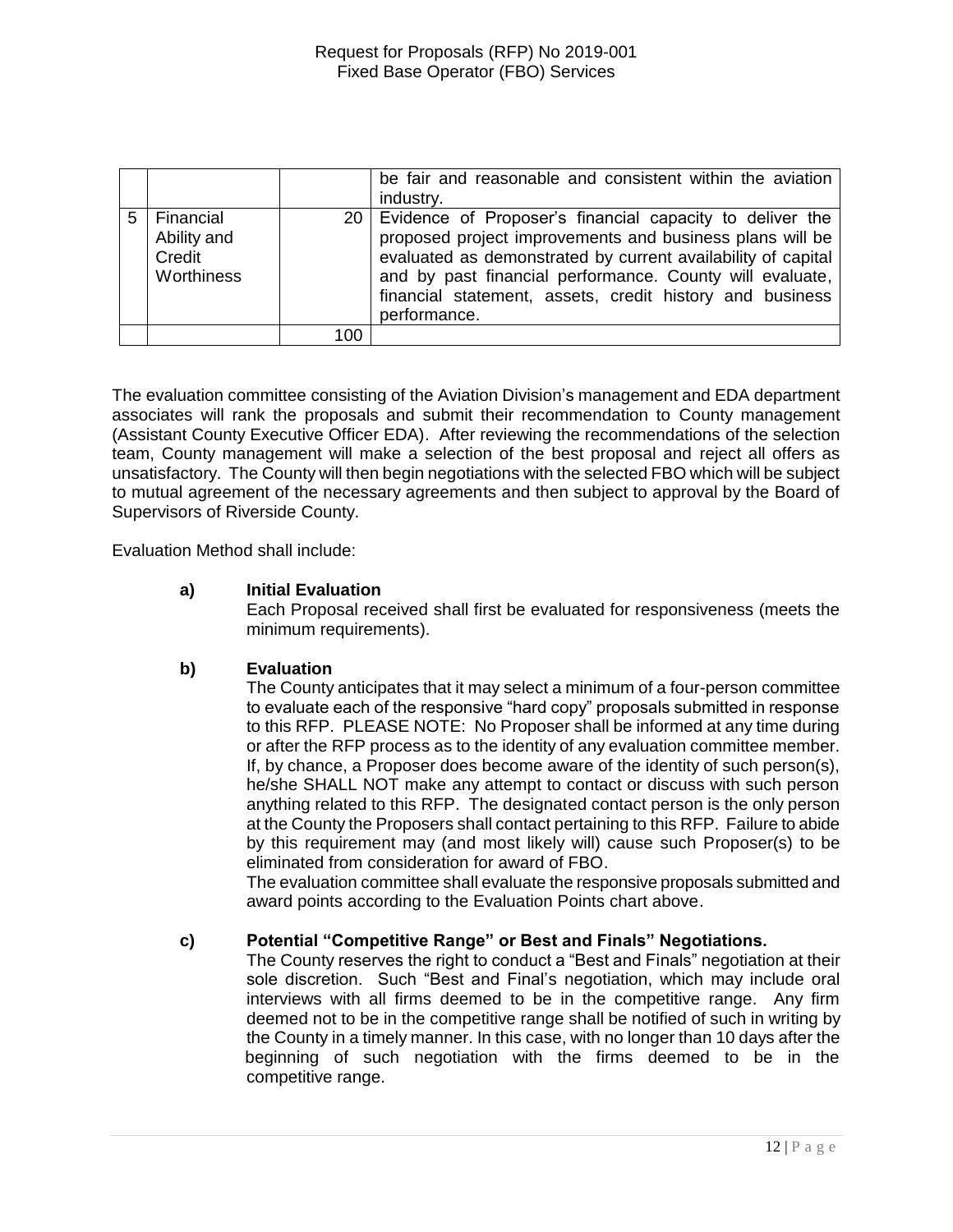|   |                                                  |     | be fair and reasonable and consistent within the aviation<br>industry.                                                                                                                                                                                                                                                          |
|---|--------------------------------------------------|-----|---------------------------------------------------------------------------------------------------------------------------------------------------------------------------------------------------------------------------------------------------------------------------------------------------------------------------------|
| 5 | Financial<br>Ability and<br>Credit<br>Worthiness |     | 20 Evidence of Proposer's financial capacity to deliver the<br>proposed project improvements and business plans will be<br>evaluated as demonstrated by current availability of capital<br>and by past financial performance. County will evaluate,<br>financial statement, assets, credit history and business<br>performance. |
|   |                                                  | 100 |                                                                                                                                                                                                                                                                                                                                 |

The evaluation committee consisting of the Aviation Division's management and EDA department associates will rank the proposals and submit their recommendation to County management (Assistant County Executive Officer EDA). After reviewing the recommendations of the selection team, County management will make a selection of the best proposal and reject all offers as unsatisfactory. The County will then begin negotiations with the selected FBO which will be subject to mutual agreement of the necessary agreements and then subject to approval by the Board of Supervisors of Riverside County.

Evaluation Method shall include:

#### **a) Initial Evaluation**

Each Proposal received shall first be evaluated for responsiveness (meets the minimum requirements).

#### **b) Evaluation**

The County anticipates that it may select a minimum of a four-person committee to evaluate each of the responsive "hard copy" proposals submitted in response to this RFP. PLEASE NOTE: No Proposer shall be informed at any time during or after the RFP process as to the identity of any evaluation committee member. If, by chance, a Proposer does become aware of the identity of such person(s), he/she SHALL NOT make any attempt to contact or discuss with such person anything related to this RFP. The designated contact person is the only person at the County the Proposers shall contact pertaining to this RFP. Failure to abide by this requirement may (and most likely will) cause such Proposer(s) to be eliminated from consideration for award of FBO.

The evaluation committee shall evaluate the responsive proposals submitted and award points according to the Evaluation Points chart above.

#### **c) Potential "Competitive Range" or Best and Finals" Negotiations.**

The County reserves the right to conduct a "Best and Finals" negotiation at their sole discretion. Such "Best and Final's negotiation, which may include oral interviews with all firms deemed to be in the competitive range. Any firm deemed not to be in the competitive range shall be notified of such in writing by the County in a timely manner. In this case, with no longer than 10 days after the beginning of such negotiation with the firms deemed to be in the competitive range.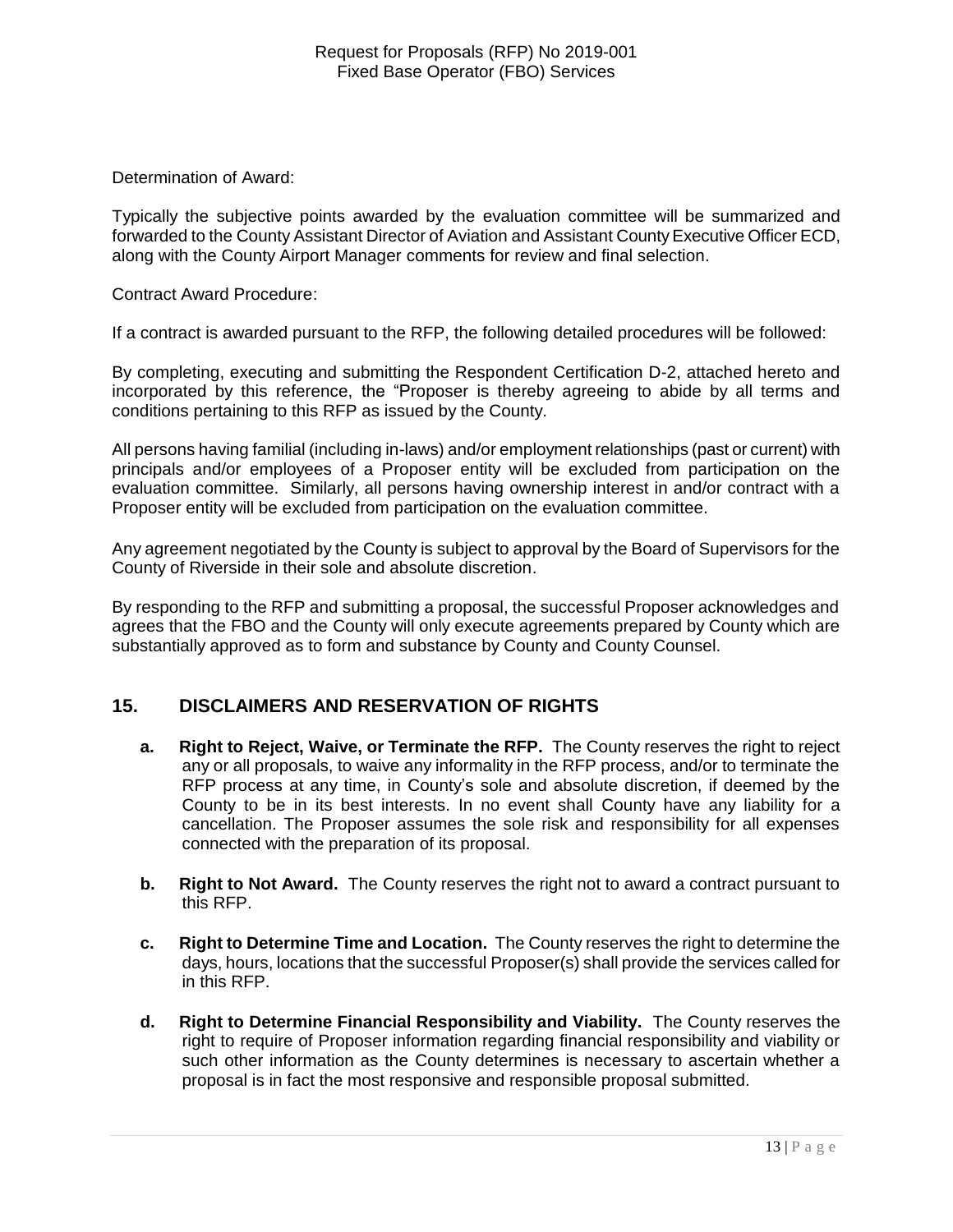Determination of Award:

Typically the subjective points awarded by the evaluation committee will be summarized and forwarded to the County Assistant Director of Aviation and Assistant County Executive Officer ECD, along with the County Airport Manager comments for review and final selection.

Contract Award Procedure:

If a contract is awarded pursuant to the RFP, the following detailed procedures will be followed:

By completing, executing and submitting the Respondent Certification D-2, attached hereto and incorporated by this reference, the "Proposer is thereby agreeing to abide by all terms and conditions pertaining to this RFP as issued by the County.

All persons having familial (including in-laws) and/or employment relationships (past or current) with principals and/or employees of a Proposer entity will be excluded from participation on the evaluation committee. Similarly, all persons having ownership interest in and/or contract with a Proposer entity will be excluded from participation on the evaluation committee.

Any agreement negotiated by the County is subject to approval by the Board of Supervisors for the County of Riverside in their sole and absolute discretion.

By responding to the RFP and submitting a proposal, the successful Proposer acknowledges and agrees that the FBO and the County will only execute agreements prepared by County which are substantially approved as to form and substance by County and County Counsel.

# **15. DISCLAIMERS AND RESERVATION OF RIGHTS**

- **a. Right to Reject, Waive, or Terminate the RFP.** The County reserves the right to reject any or all proposals, to waive any informality in the RFP process, and/or to terminate the RFP process at any time, in County's sole and absolute discretion, if deemed by the County to be in its best interests. In no event shall County have any liability for a cancellation. The Proposer assumes the sole risk and responsibility for all expenses connected with the preparation of its proposal.
- **b. Right to Not Award.** The County reserves the right not to award a contract pursuant to this RFP.
- **c. Right to Determine Time and Location.** The County reserves the right to determine the days, hours, locations that the successful Proposer(s) shall provide the services called for in this RFP.
- **d. Right to Determine Financial Responsibility and Viability.** The County reserves the right to require of Proposer information regarding financial responsibility and viability or such other information as the County determines is necessary to ascertain whether a proposal is in fact the most responsive and responsible proposal submitted.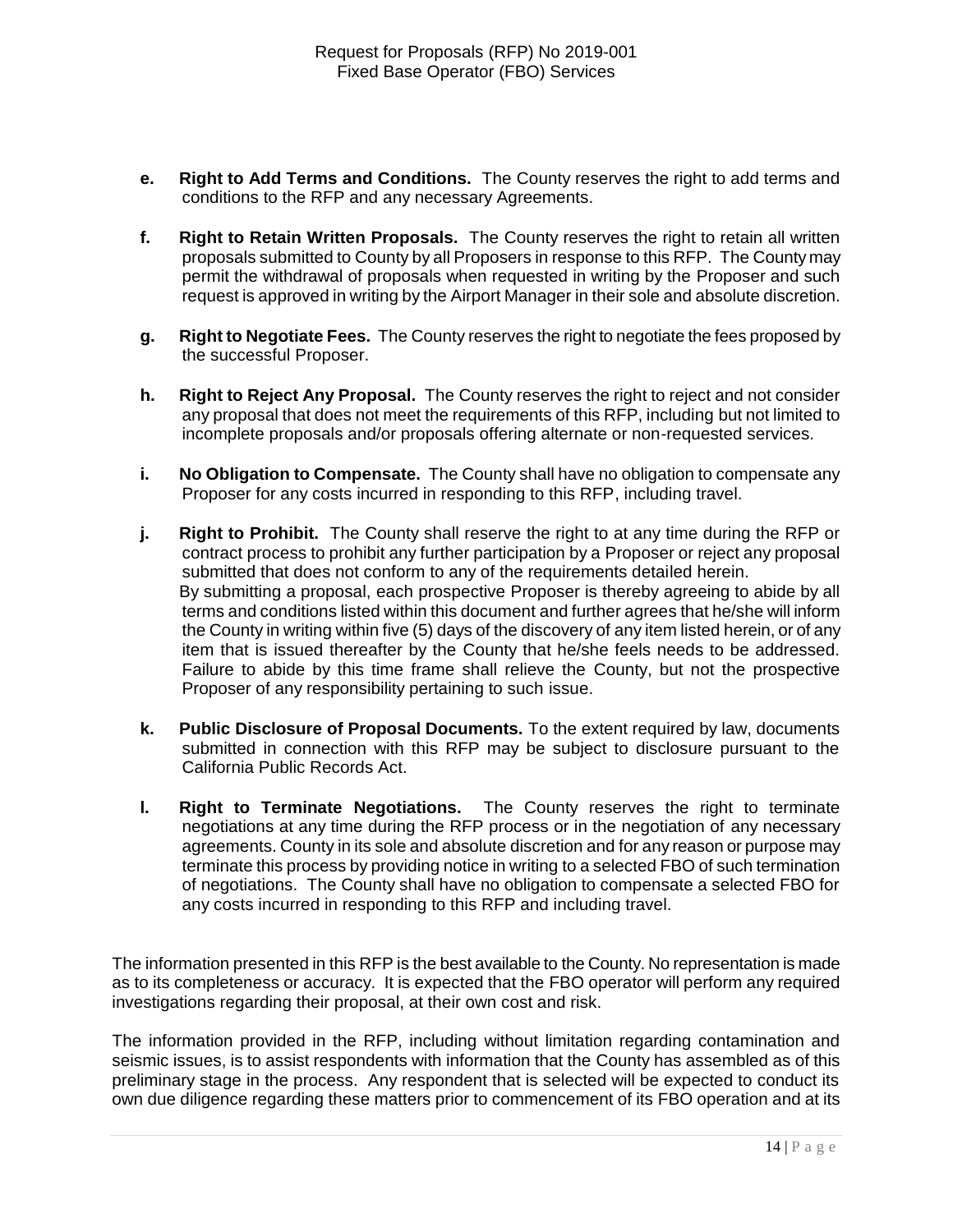- **e. Right to Add Terms and Conditions.** The County reserves the right to add terms and conditions to the RFP and any necessary Agreements.
- **f. Right to Retain Written Proposals.** The County reserves the right to retain all written proposals submitted to County by all Proposers in response to this RFP. The County may permit the withdrawal of proposals when requested in writing by the Proposer and such request is approved in writing by the Airport Manager in their sole and absolute discretion.
- **g. Right to Negotiate Fees.** The County reserves the right to negotiate the fees proposed by the successful Proposer.
- **h. Right to Reject Any Proposal.** The County reserves the right to reject and not consider any proposal that does not meet the requirements of this RFP, including but not limited to incomplete proposals and/or proposals offering alternate or non-requested services.
- **i. No Obligation to Compensate.** The County shall have no obligation to compensate any Proposer for any costs incurred in responding to this RFP, including travel.
- **j. Right to Prohibit.** The County shall reserve the right to at any time during the RFP or contract process to prohibit any further participation by a Proposer or reject any proposal submitted that does not conform to any of the requirements detailed herein. By submitting a proposal, each prospective Proposer is thereby agreeing to abide by all terms and conditions listed within this document and further agrees that he/she will inform the County in writing within five (5) days of the discovery of any item listed herein, or of any item that is issued thereafter by the County that he/she feels needs to be addressed. Failure to abide by this time frame shall relieve the County, but not the prospective Proposer of any responsibility pertaining to such issue.
- **k. Public Disclosure of Proposal Documents.** To the extent required by law, documents submitted in connection with this RFP may be subject to disclosure pursuant to the California Public Records Act.
- **l. Right to Terminate Negotiations.** The County reserves the right to terminate negotiations at any time during the RFP process or in the negotiation of any necessary agreements. County in its sole and absolute discretion and for any reason or purpose may terminate this process by providing notice in writing to a selected FBO of such termination of negotiations. The County shall have no obligation to compensate a selected FBO for any costs incurred in responding to this RFP and including travel.

The information presented in this RFP is the best available to the County. No representation is made as to its completeness or accuracy. It is expected that the FBO operator will perform any required investigations regarding their proposal, at their own cost and risk.

The information provided in the RFP, including without limitation regarding contamination and seismic issues, is to assist respondents with information that the County has assembled as of this preliminary stage in the process. Any respondent that is selected will be expected to conduct its own due diligence regarding these matters prior to commencement of its FBO operation and at its